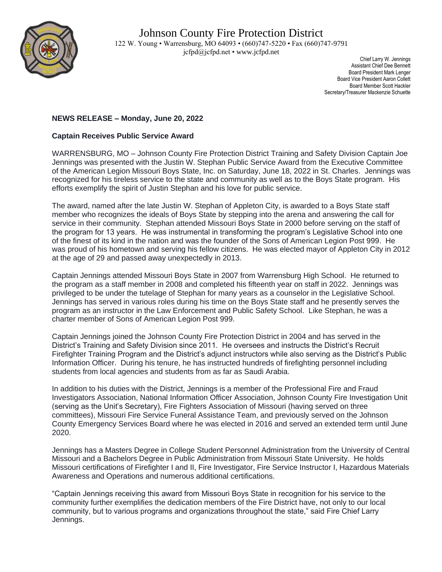

 Chief Larry W. Jennings Assistant Chief Dee Bennett Board President Mark Lenger Board Vice President Aaron Collett Board Member Scott Hackler Secretary/Treasurer Mackenzie Schuette

## **NEWS RELEASE – Monday, June 20, 2022**

## **Captain Receives Public Service Award**

WARRENSBURG, MO – Johnson County Fire Protection District Training and Safety Division Captain Joe Jennings was presented with the Justin W. Stephan Public Service Award from the Executive Committee of the American Legion Missouri Boys State, Inc. on Saturday, June 18, 2022 in St. Charles. Jennings was recognized for his tireless service to the state and community as well as to the Boys State program. His efforts exemplify the spirit of Justin Stephan and his love for public service.

The award, named after the late Justin W. Stephan of Appleton City, is awarded to a Boys State staff member who recognizes the ideals of Boys State by stepping into the arena and answering the call for service in their community. Stephan attended Missouri Boys State in 2000 before serving on the staff of the program for 13 years. He was instrumental in transforming the program's Legislative School into one of the finest of its kind in the nation and was the founder of the Sons of American Legion Post 999. He was proud of his hometown and serving his fellow citizens. He was elected mayor of Appleton City in 2012 at the age of 29 and passed away unexpectedly in 2013.

Captain Jennings attended Missouri Boys State in 2007 from Warrensburg High School. He returned to the program as a staff member in 2008 and completed his fifteenth year on staff in 2022. Jennings was privileged to be under the tutelage of Stephan for many years as a counselor in the Legislative School. Jennings has served in various roles during his time on the Boys State staff and he presently serves the program as an instructor in the Law Enforcement and Public Safety School. Like Stephan, he was a charter member of Sons of American Legion Post 999.

Captain Jennings joined the Johnson County Fire Protection District in 2004 and has served in the District's Training and Safety Division since 2011. He oversees and instructs the District's Recruit Firefighter Training Program and the District's adjunct instructors while also serving as the District's Public Information Officer. During his tenure, he has instructed hundreds of firefighting personnel including students from local agencies and students from as far as Saudi Arabia.

In addition to his duties with the District, Jennings is a member of the Professional Fire and Fraud Investigators Association, National Information Officer Association, Johnson County Fire Investigation Unit (serving as the Unit's Secretary), Fire Fighters Association of Missouri (having served on three committees), Missouri Fire Service Funeral Assistance Team, and previously served on the Johnson County Emergency Services Board where he was elected in 2016 and served an extended term until June 2020.

Jennings has a Masters Degree in College Student Personnel Administration from the University of Central Missouri and a Bachelors Degree in Public Administration from Missouri State University. He holds Missouri certifications of Firefighter I and II, Fire Investigator, Fire Service Instructor I, Hazardous Materials Awareness and Operations and numerous additional certifications.

"Captain Jennings receiving this award from Missouri Boys State in recognition for his service to the community further exemplifies the dedication members of the Fire District have, not only to our local community, but to various programs and organizations throughout the state," said Fire Chief Larry Jennings.